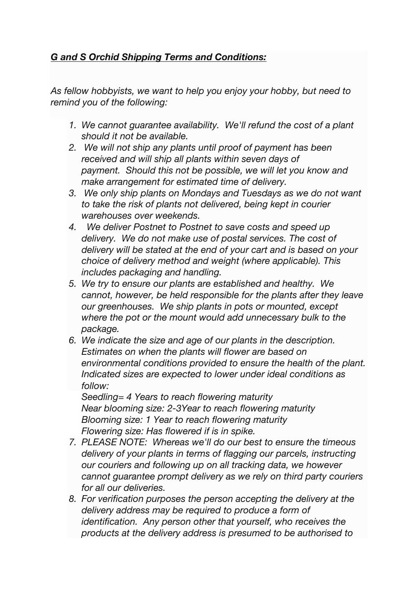# *G and S Orchid Shipping Terms and Conditions:*

*As fellow hobbyists, we want to help you enjoy your hobby, but need to remind you of the following:*

- *1. We cannot guarantee availability. We'll refund the cost of a plant should it not be available.*
- *2. We will not ship any plants until proof of payment has been received and will ship all plants within seven days of payment. Should this not be possible, we will let you know and make arrangement for estimated time of delivery.*
- *3. We only ship plants on Mondays and Tuesdays as we do not want to take the risk of plants not delivered, being kept in courier warehouses over weekends.*
- *4. We deliver Postnet to Postnet to save costs and speed up delivery. We do not make use of postal services. The cost of delivery will be stated at the end of your cart and is based on your choice of delivery method and weight (where applicable). This includes packaging and handling.*
- *5. We try to ensure our plants are established and healthy. We cannot, however, be held responsible for the plants after they leave our greenhouses. We ship plants in pots or mounted, except where the pot or the mount would add unnecessary bulk to the package.*
- *6. We indicate the size and age of our plants in the description. Estimates on when the plants will flower are based on environmental conditions provided to ensure the health of the plant. Indicated sizes are expected to lower under ideal conditions as follow:*

*Seedling= 4 Years to reach flowering maturity Near blooming size: 2-3Year to reach flowering maturity Blooming size: 1 Year to reach flowering maturity Flowering size: Has flowered if is in spike.*

- *7. PLEASE NOTE: Whereas we'll do our best to ensure the timeous delivery of your plants in terms of flagging our parcels, instructing our couriers and following up on all tracking data, we however cannot guarantee prompt delivery as we rely on third party couriers for all our deliveries.*
- *8. For verification purposes the person accepting the delivery at the delivery address may be required to produce a form of identification. Any person other that yourself, who receives the products at the delivery address is presumed to be authorised to*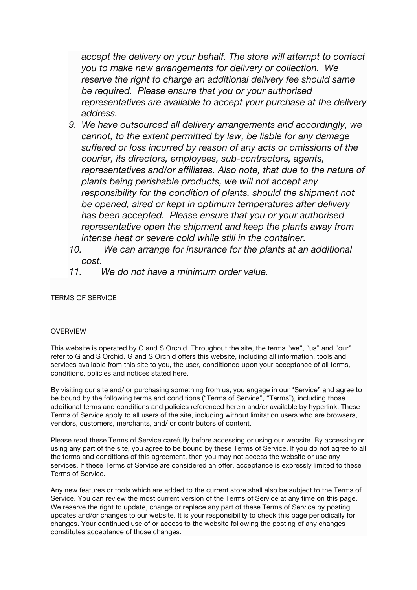*accept the delivery on your behalf. The store will attempt to contact you to make new arrangements for delivery or collection. We reserve the right to charge an additional delivery fee should same be required. Please ensure that you or your authorised representatives are available to accept your purchase at the delivery address.*

- *9. We have outsourced all delivery arrangements and accordingly, we cannot, to the extent permitted by law, be liable for any damage suffered or loss incurred by reason of any acts or omissions of the courier, its directors, employees, sub-contractors, agents, representatives and/or affiliates. Also note, that due to the nature of plants being perishable products, we will not accept any responsibility for the condition of plants, should the shipment not be opened, aired or kept in optimum temperatures after delivery has been accepted. Please ensure that you or your authorised representative open the shipment and keep the plants away from intense heat or severe cold while still in the container.*
- *10. We can arrange for insurance for the plants at an additional cost.*
- *11. We do not have a minimum order value.*

# TERMS OF SERVICE

-----

# **OVERVIEW**

This website is operated by G and S Orchid. Throughout the site, the terms "we", "us" and "our" refer to G and S Orchid. G and S Orchid offers this website, including all information, tools and services available from this site to you, the user, conditioned upon your acceptance of all terms, conditions, policies and notices stated here.

By visiting our site and/ or purchasing something from us, you engage in our "Service" and agree to be bound by the following terms and conditions ("Terms of Service", "Terms"), including those additional terms and conditions and policies referenced herein and/or available by hyperlink. These Terms of Service apply to all users of the site, including without limitation users who are browsers, vendors, customers, merchants, and/ or contributors of content.

Please read these Terms of Service carefully before accessing or using our website. By accessing or using any part of the site, you agree to be bound by these Terms of Service. If you do not agree to all the terms and conditions of this agreement, then you may not access the website or use any services. If these Terms of Service are considered an offer, acceptance is expressly limited to these Terms of Service.

Any new features or tools which are added to the current store shall also be subject to the Terms of Service. You can review the most current version of the Terms of Service at any time on this page. We reserve the right to update, change or replace any part of these Terms of Service by posting updates and/or changes to our website. It is your responsibility to check this page periodically for changes. Your continued use of or access to the website following the posting of any changes constitutes acceptance of those changes.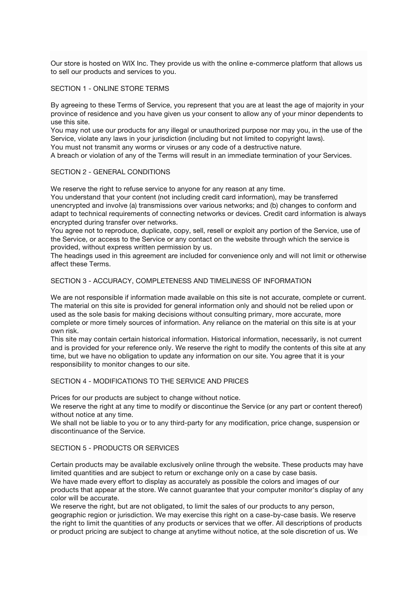Our store is hosted on WIX Inc. They provide us with the online e-commerce platform that allows us to sell our products and services to you.

#### SECTION 1 - ONLINE STORE TERMS

By agreeing to these Terms of Service, you represent that you are at least the age of majority in your province of residence and you have given us your consent to allow any of your minor dependents to use this site.

You may not use our products for any illegal or unauthorized purpose nor may you, in the use of the Service, violate any laws in your jurisdiction (including but not limited to copyright laws).

You must not transmit any worms or viruses or any code of a destructive nature.

A breach or violation of any of the Terms will result in an immediate termination of your Services.

# SECTION 2 - GENERAL CONDITIONS

We reserve the right to refuse service to anyone for any reason at any time.

You understand that your content (not including credit card information), may be transferred unencrypted and involve (a) transmissions over various networks; and (b) changes to conform and adapt to technical requirements of connecting networks or devices. Credit card information is always encrypted during transfer over networks.

You agree not to reproduce, duplicate, copy, sell, resell or exploit any portion of the Service, use of the Service, or access to the Service or any contact on the website through which the service is provided, without express written permission by us.

The headings used in this agreement are included for convenience only and will not limit or otherwise affect these Terms.

#### SECTION 3 - ACCURACY, COMPLETENESS AND TIMELINESS OF INFORMATION

We are not responsible if information made available on this site is not accurate, complete or current. The material on this site is provided for general information only and should not be relied upon or used as the sole basis for making decisions without consulting primary, more accurate, more complete or more timely sources of information. Any reliance on the material on this site is at your own risk.

This site may contain certain historical information. Historical information, necessarily, is not current and is provided for your reference only. We reserve the right to modify the contents of this site at any time, but we have no obligation to update any information on our site. You agree that it is your responsibility to monitor changes to our site.

#### SECTION 4 - MODIFICATIONS TO THE SERVICE AND PRICES

Prices for our products are subject to change without notice.

We reserve the right at any time to modify or discontinue the Service (or any part or content thereof) without notice at any time.

We shall not be liable to you or to any third-party for any modification, price change, suspension or discontinuance of the Service.

#### SECTION 5 - PRODUCTS OR SERVICES

Certain products may be available exclusively online through the website. These products may have limited quantities and are subject to return or exchange only on a case by case basis.

We have made every effort to display as accurately as possible the colors and images of our products that appear at the store. We cannot guarantee that your computer monitor's display of any color will be accurate.

We reserve the right, but are not obligated, to limit the sales of our products to any person, geographic region or jurisdiction. We may exercise this right on a case-by-case basis. We reserve the right to limit the quantities of any products or services that we offer. All descriptions of products or product pricing are subject to change at anytime without notice, at the sole discretion of us. We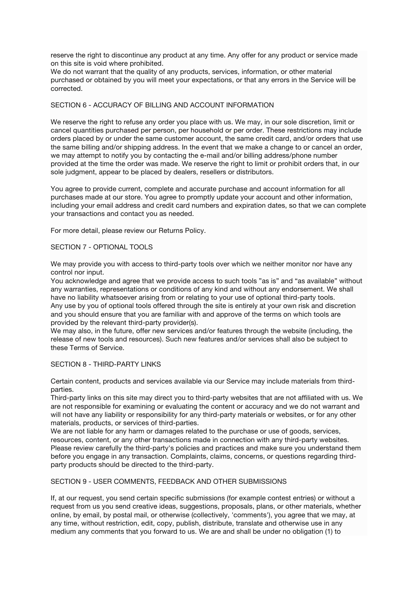reserve the right to discontinue any product at any time. Any offer for any product or service made on this site is void where prohibited.

We do not warrant that the quality of any products, services, information, or other material purchased or obtained by you will meet your expectations, or that any errors in the Service will be corrected.

## SECTION 6 - ACCURACY OF BILLING AND ACCOUNT INFORMATION

We reserve the right to refuse any order you place with us. We may, in our sole discretion, limit or cancel quantities purchased per person, per household or per order. These restrictions may include orders placed by or under the same customer account, the same credit card, and/or orders that use the same billing and/or shipping address. In the event that we make a change to or cancel an order, we may attempt to notify you by contacting the e-mail and/or billing address/phone number provided at the time the order was made. We reserve the right to limit or prohibit orders that, in our sole judgment, appear to be placed by dealers, resellers or distributors.

You agree to provide current, complete and accurate purchase and account information for all purchases made at our store. You agree to promptly update your account and other information, including your email address and credit card numbers and expiration dates, so that we can complete your transactions and contact you as needed.

For more detail, please review our Returns Policy.

#### SECTION 7 - OPTIONAL TOOLS

We may provide you with access to third-party tools over which we neither monitor nor have any control nor input.

You acknowledge and agree that we provide access to such tools "as is" and "as available" without any warranties, representations or conditions of any kind and without any endorsement. We shall have no liability whatsoever arising from or relating to your use of optional third-party tools. Any use by you of optional tools offered through the site is entirely at your own risk and discretion and you should ensure that you are familiar with and approve of the terms on which tools are provided by the relevant third-party provider(s).

We may also, in the future, offer new services and/or features through the website (including, the release of new tools and resources). Such new features and/or services shall also be subject to these Terms of Service.

### SECTION 8 - THIRD-PARTY LINKS

Certain content, products and services available via our Service may include materials from thirdparties.

Third-party links on this site may direct you to third-party websites that are not affiliated with us. We are not responsible for examining or evaluating the content or accuracy and we do not warrant and will not have any liability or responsibility for any third-party materials or websites, or for any other materials, products, or services of third-parties.

We are not liable for any harm or damages related to the purchase or use of goods, services, resources, content, or any other transactions made in connection with any third-party websites. Please review carefully the third-party's policies and practices and make sure you understand them before you engage in any transaction. Complaints, claims, concerns, or questions regarding thirdparty products should be directed to the third-party.

#### SECTION 9 - USER COMMENTS, FEEDBACK AND OTHER SUBMISSIONS

If, at our request, you send certain specific submissions (for example contest entries) or without a request from us you send creative ideas, suggestions, proposals, plans, or other materials, whether online, by email, by postal mail, or otherwise (collectively, 'comments'), you agree that we may, at any time, without restriction, edit, copy, publish, distribute, translate and otherwise use in any medium any comments that you forward to us. We are and shall be under no obligation (1) to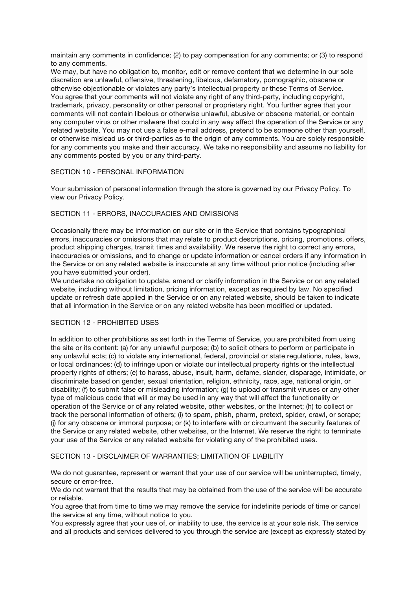maintain any comments in confidence; (2) to pay compensation for any comments; or (3) to respond to any comments.

We may, but have no obligation to, monitor, edit or remove content that we determine in our sole discretion are unlawful, offensive, threatening, libelous, defamatory, pornographic, obscene or otherwise objectionable or violates any party's intellectual property or these Terms of Service. You agree that your comments will not violate any right of any third-party, including copyright, trademark, privacy, personality or other personal or proprietary right. You further agree that your comments will not contain libelous or otherwise unlawful, abusive or obscene material, or contain any computer virus or other malware that could in any way affect the operation of the Service or any related website. You may not use a false e-mail address, pretend to be someone other than yourself, or otherwise mislead us or third-parties as to the origin of any comments. You are solely responsible for any comments you make and their accuracy. We take no responsibility and assume no liability for any comments posted by you or any third-party.

#### SECTION 10 - PERSONAL INFORMATION

Your submission of personal information through the store is governed by our Privacy Policy. To view our Privacy Policy.

#### SECTION 11 - ERRORS, INACCURACIES AND OMISSIONS

Occasionally there may be information on our site or in the Service that contains typographical errors, inaccuracies or omissions that may relate to product descriptions, pricing, promotions, offers, product shipping charges, transit times and availability. We reserve the right to correct any errors, inaccuracies or omissions, and to change or update information or cancel orders if any information in the Service or on any related website is inaccurate at any time without prior notice (including after you have submitted your order).

We undertake no obligation to update, amend or clarify information in the Service or on any related website, including without limitation, pricing information, except as required by law. No specified update or refresh date applied in the Service or on any related website, should be taken to indicate that all information in the Service or on any related website has been modified or updated.

#### SECTION 12 - PROHIBITED USES

In addition to other prohibitions as set forth in the Terms of Service, you are prohibited from using the site or its content: (a) for any unlawful purpose; (b) to solicit others to perform or participate in any unlawful acts; (c) to violate any international, federal, provincial or state regulations, rules, laws, or local ordinances; (d) to infringe upon or violate our intellectual property rights or the intellectual property rights of others; (e) to harass, abuse, insult, harm, defame, slander, disparage, intimidate, or discriminate based on gender, sexual orientation, religion, ethnicity, race, age, national origin, or disability; (f) to submit false or misleading information; (g) to upload or transmit viruses or any other type of malicious code that will or may be used in any way that will affect the functionality or operation of the Service or of any related website, other websites, or the Internet; (h) to collect or track the personal information of others; (i) to spam, phish, pharm, pretext, spider, crawl, or scrape; (j) for any obscene or immoral purpose; or (k) to interfere with or circumvent the security features of the Service or any related website, other websites, or the Internet. We reserve the right to terminate your use of the Service or any related website for violating any of the prohibited uses.

#### SECTION 13 - DISCLAIMER OF WARRANTIES; LIMITATION OF LIABILITY

We do not quarantee, represent or warrant that your use of our service will be uninterrupted, timely, secure or error-free.

We do not warrant that the results that may be obtained from the use of the service will be accurate or reliable.

You agree that from time to time we may remove the service for indefinite periods of time or cancel the service at any time, without notice to you.

You expressly agree that your use of, or inability to use, the service is at your sole risk. The service and all products and services delivered to you through the service are (except as expressly stated by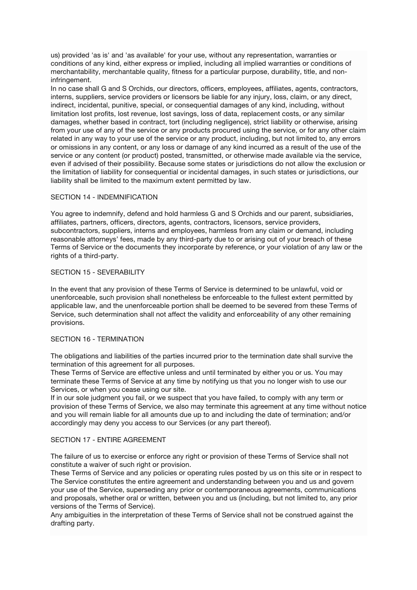us) provided 'as is' and 'as available' for your use, without any representation, warranties or conditions of any kind, either express or implied, including all implied warranties or conditions of merchantability, merchantable quality, fitness for a particular purpose, durability, title, and noninfringement.

In no case shall G and S Orchids, our directors, officers, employees, affiliates, agents, contractors, interns, suppliers, service providers or licensors be liable for any injury, loss, claim, or any direct, indirect, incidental, punitive, special, or consequential damages of any kind, including, without limitation lost profits, lost revenue, lost savings, loss of data, replacement costs, or any similar damages, whether based in contract, tort (including negligence), strict liability or otherwise, arising from your use of any of the service or any products procured using the service, or for any other claim related in any way to your use of the service or any product, including, but not limited to, any errors or omissions in any content, or any loss or damage of any kind incurred as a result of the use of the service or any content (or product) posted, transmitted, or otherwise made available via the service, even if advised of their possibility. Because some states or jurisdictions do not allow the exclusion or the limitation of liability for consequential or incidental damages, in such states or jurisdictions, our liability shall be limited to the maximum extent permitted by law.

#### SECTION 14 - INDEMNIFICATION

You agree to indemnify, defend and hold harmless G and S Orchids and our parent, subsidiaries, affiliates, partners, officers, directors, agents, contractors, licensors, service providers, subcontractors, suppliers, interns and employees, harmless from any claim or demand, including reasonable attorneys' fees, made by any third-party due to or arising out of your breach of these Terms of Service or the documents they incorporate by reference, or your violation of any law or the rights of a third-party.

# SECTION 15 - SEVERABILITY

In the event that any provision of these Terms of Service is determined to be unlawful, void or unenforceable, such provision shall nonetheless be enforceable to the fullest extent permitted by applicable law, and the unenforceable portion shall be deemed to be severed from these Terms of Service, such determination shall not affect the validity and enforceability of any other remaining provisions.

#### SECTION 16 - TERMINATION

The obligations and liabilities of the parties incurred prior to the termination date shall survive the termination of this agreement for all purposes.

These Terms of Service are effective unless and until terminated by either you or us. You may terminate these Terms of Service at any time by notifying us that you no longer wish to use our Services, or when you cease using our site.

If in our sole judgment you fail, or we suspect that you have failed, to comply with any term or provision of these Terms of Service, we also may terminate this agreement at any time without notice and you will remain liable for all amounts due up to and including the date of termination; and/or accordingly may deny you access to our Services (or any part thereof).

#### SECTION 17 - ENTIRE AGREEMENT

The failure of us to exercise or enforce any right or provision of these Terms of Service shall not constitute a waiver of such right or provision.

These Terms of Service and any policies or operating rules posted by us on this site or in respect to The Service constitutes the entire agreement and understanding between you and us and govern your use of the Service, superseding any prior or contemporaneous agreements, communications and proposals, whether oral or written, between you and us (including, but not limited to, any prior versions of the Terms of Service).

Any ambiguities in the interpretation of these Terms of Service shall not be construed against the drafting party.